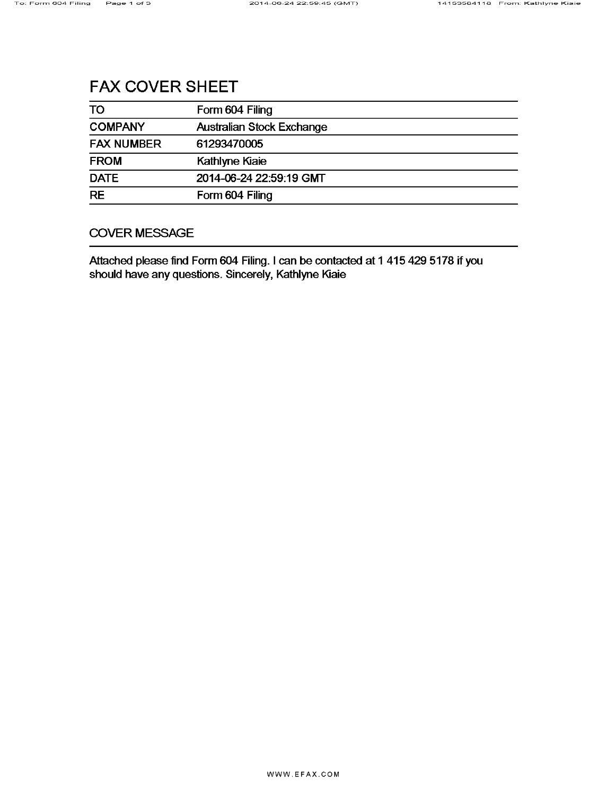# **FAX COVER SHEET**

| TO                | Form 604 Filing                  |
|-------------------|----------------------------------|
| <b>COMPANY</b>    | <b>Australian Stock Exchange</b> |
| <b>FAX NUMBER</b> | 61293470005                      |
| <b>FROM</b>       | Kathlyne Kiaie                   |
| <b>DATE</b>       | 2014-06-24 22:59:19 GMT          |
| <b>RE</b>         | Form 604 Filing                  |

# **COVER MESSAGE**

Attached please find Form 604 Filing. I can be contacted at 1 415 429 5178 if you should have any questions. Sincerely, Kathlyne Kiaie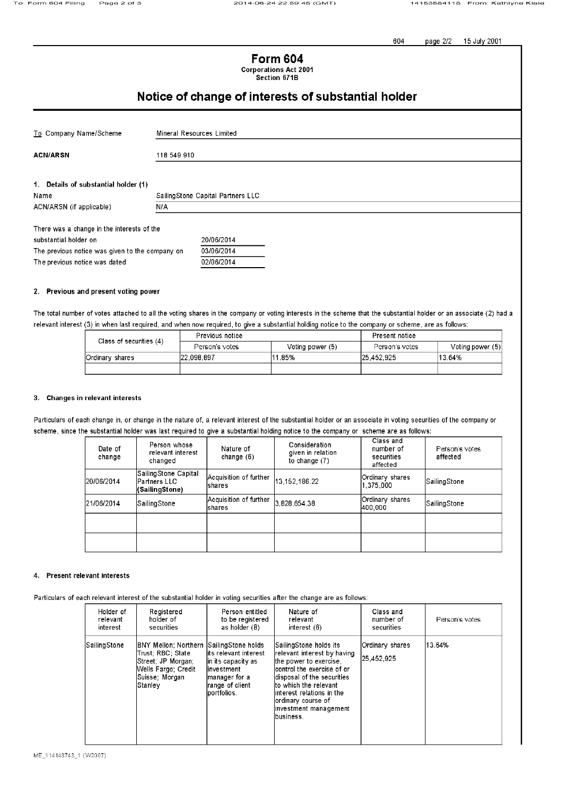page 2/2 604 15 July 2001

**Form 604 Corporations Act 2001** 

Section 671B

# Notice of change of interests of substantial holder

| To Company Name/Scheme                          |             | Mineral Resources Limited         |  |  |  |
|-------------------------------------------------|-------------|-----------------------------------|--|--|--|
|                                                 |             |                                   |  |  |  |
| <b>ACN/ARSN</b>                                 | 118 549 910 |                                   |  |  |  |
|                                                 |             |                                   |  |  |  |
| 1. Details of substantial holder (1)            |             |                                   |  |  |  |
| Name                                            |             | SailingStone Capital Partners LLC |  |  |  |
| N/A<br>ACN/ARSN (if applicable)                 |             |                                   |  |  |  |
| There was a change in the interests of the      |             |                                   |  |  |  |
|                                                 |             |                                   |  |  |  |
| substantial holder on                           |             | 20/06/2014                        |  |  |  |
| The previous notice was given to the company on |             | 03/06/2014                        |  |  |  |

#### 2. Previous and present voting power

The previous notice was dated

The total number of votes attached to all the voting shares in the company or voting interests in the scheme that the substantial holder or an associate (2) had a relevant interest (3) in when last required, and when now required, to give a substantial holding notice to the company or scheme, are as follows:

02/06/2014

| Class of securities (4) | Previous notice |                  | Present notice |                  |  |
|-------------------------|-----------------|------------------|----------------|------------------|--|
|                         | Person's votes  | Voting power (5) | Person's votes | Voting power (5) |  |
| Ordinary shares         | 122.098.897     | 11.85%           | 25.452.925     | 13.64%           |  |
|                         |                 |                  |                |                  |  |

#### 3. Changes in relevant interests

Particulars of each change in, or change in the nature of, a relevant interest of the substantial holder or an associate in voting securities of the company or scheme, since the substantial holder was last required to give a substantial holding notice to the company or scheme are as follows:

| Date of<br>change | Person whose<br>relevant interest<br>changed              | Nature of<br>change $(6)$         | Consideration<br>given in relation<br>to change $(7)$ | Class and<br>number of<br>securities<br>affected | Person's votes<br>affected |
|-------------------|-----------------------------------------------------------|-----------------------------------|-------------------------------------------------------|--------------------------------------------------|----------------------------|
| 120/06/2014       | SailingStone Capital<br>lPartners LLC l<br>(SailingStone) | Acquisition of further<br>Ishares | 13,152,186.22                                         | Ordinary shares<br>1,375,000                     | SailingStone               |
| 121/06/2014       | SailingStone                                              | Acquisition of further<br>Ishares | 3.828.654.38                                          | Ordinary shares<br>400.000                       | SailingStone               |
|                   |                                                           |                                   |                                                       |                                                  |                            |
|                   |                                                           |                                   |                                                       |                                                  |                            |

#### 4. Present relevant interests

Particulars of each relevant interest of the substantial holder in voting securities after the change are as follows:

| Holder of    | Registered                                                                                                            | Person entitled                                                                                                                         | Nature of                                                                                                                                                                                                                                                           | Class and                     | Person's votes |
|--------------|-----------------------------------------------------------------------------------------------------------------------|-----------------------------------------------------------------------------------------------------------------------------------------|---------------------------------------------------------------------------------------------------------------------------------------------------------------------------------------------------------------------------------------------------------------------|-------------------------------|----------------|
| relevant     | holder of                                                                                                             | to be registered                                                                                                                        | relevant                                                                                                                                                                                                                                                            | number of                     |                |
| interest     | securities                                                                                                            | as holder (8)                                                                                                                           | interest $(6)$                                                                                                                                                                                                                                                      | securities                    |                |
| SailingStone | BNY Mellon; Northern<br>Trust: RBC: State<br>Street; JP Morgan;<br>Wells Fargo: Credit<br> Suisse: Morgan <br>Stanley | SailingStone holds<br>lits relevant interest<br>lin its capacity as<br>linvestment<br>manager for a<br>Irange of client<br>lportfolios. | SailingStone holds its<br>relevant interest by having<br>the power to exercise.<br>lcontrol the exercise of or<br>disposal of the securities<br>lto which the relevant<br>linterest relations in the<br>lordinary course of<br>linvestment management<br>lbusiness. | Ordinary shares<br>25.452.925 | 13.64%         |